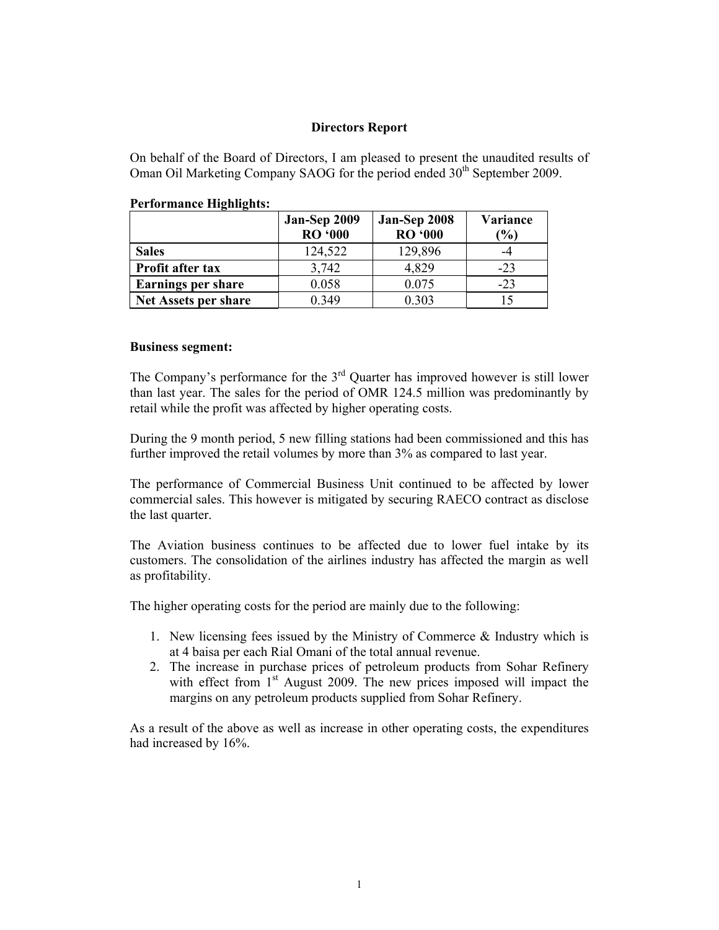## **Directors Report**

On behalf of the Board of Directors, I am pleased to present the unaudited results of Oman Oil Marketing Company SAOG for the period ended 30<sup>th</sup> September 2009.

|                             | Jan-Sep 2009<br><b>RO</b> '000 | <b>Jan-Sep 2008</b><br><b>RO</b> '000 | Variance<br>$\frac{1}{2}$ |
|-----------------------------|--------------------------------|---------------------------------------|---------------------------|
| <b>Sales</b>                | 124,522                        | 129,896                               |                           |
| Profit after tax            | 3,742                          | 4,829                                 | $-23$                     |
| <b>Earnings per share</b>   | 0.058                          | 0.075                                 | $-23$                     |
| <b>Net Assets per share</b> | 0.349                          | 0.303                                 |                           |

### **Performance Highlights:**

### **Business segment:**

The Company's performance for the  $3<sup>rd</sup>$  Quarter has improved however is still lower than last year. The sales for the period of OMR 124.5 million was predominantly by retail while the profit was affected by higher operating costs.

During the 9 month period, 5 new filling stations had been commissioned and this has further improved the retail volumes by more than 3% as compared to last year.

The performance of Commercial Business Unit continued to be affected by lower commercial sales. This however is mitigated by securing RAECO contract as disclose the last quarter.

The Aviation business continues to be affected due to lower fuel intake by its customers. The consolidation of the airlines industry has affected the margin as well as profitability.

The higher operating costs for the period are mainly due to the following:

- 1. New licensing fees issued by the Ministry of Commerce & Industry which is at 4 baisa per each Rial Omani of the total annual revenue.
- 2. The increase in purchase prices of petroleum products from Sohar Refinery with effect from 1<sup>st</sup> August 2009. The new prices imposed will impact the margins on any petroleum products supplied from Sohar Refinery.

As a result of the above as well as increase in other operating costs, the expenditures had increased by 16%.